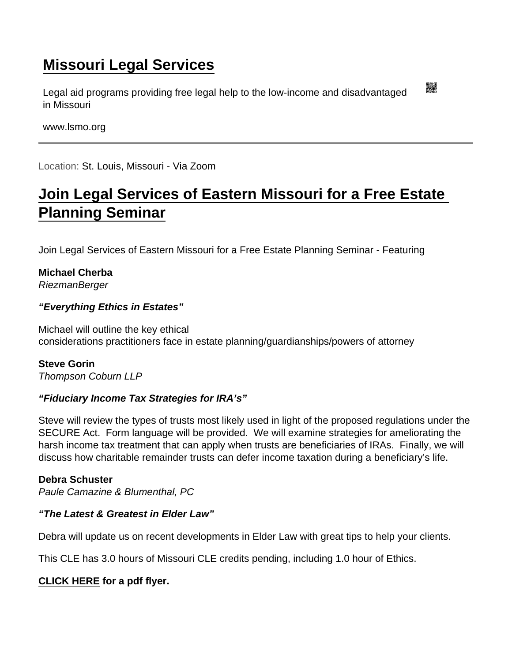## [Missouri Legal Services](https://www.lsmo.org/)

Legal aid programs providing free legal help to the low-income and disadvantaged in Missouri

www.lsmo.org

Location: St. Louis, Missouri - Via Zoom

## [Join Legal Services of Eastern Missouri for a Free Estate](https://www.lsmo.org/node/945/join-legal-services-eastern-missouri-free-estate-planning-seminar)  [Planning Seminar](https://www.lsmo.org/node/945/join-legal-services-eastern-missouri-free-estate-planning-seminar)

Join Legal Services of Eastern Missouri for a Free Estate Planning Seminar - Featuring

Michael Cherba RiezmanBerger

"Everything Ethics in Estates"

Michael will outline the key ethical considerations practitioners face in estate planning/guardianships/powers of attorney

Steve Gorin Thompson Coburn LLP

"Fiduciary Income Tax Strategies for IRA's"

Steve will review the types of trusts most likely used in light of the proposed regulations under the SECURE Act. Form language will be provided. We will examine strategies for ameliorating the harsh income tax treatment that can apply when trusts are beneficiaries of IRAs. Finally, we will discuss how charitable remainder trusts can defer income taxation during a beneficiary's life.

Debra Schuster Paule Camazine & Blumenthal, PC

"The Latest & Greatest in Elder Law"

Debra will update us on recent developments in Elder Law with great tips to help your clients.

This CLE has 3.0 hours of Missouri CLE credits pending, including 1.0 hour of Ethics.

[CLICK HERE](https://lsem.org/wp-content/uploads/2022/05/2022-Estate-Planning-CLE-Flyer.pdf) for a pdf flyer.